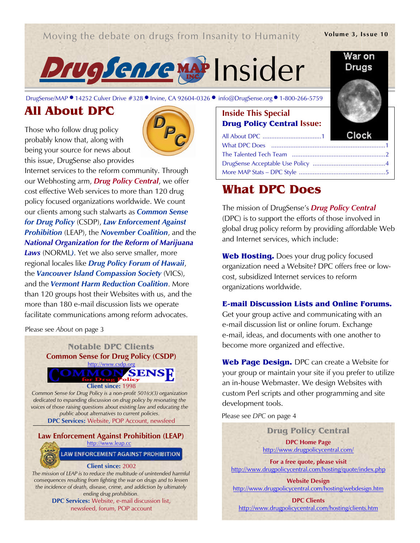## Moving the debate on drugs from Insanity to Humanity

#### Volume 3, Issue 10

War on



DrugSense/MAP ● 14252 Culver Drive #328 ● Irvine, CA 92604-0326 ● info@DrugSense.org ● 1-80

# All About DPC

Those who follow drug policy probably know that, along with being your source for news about this issue, DrugSense also provides



Internet services to the reform community. Through our Webhosting arm, **Drug Policy Central**, we offer cost effective Web services to more than 120 drug policy focused organizations worldwide. We count our clients among such stalwarts as **Common Sense** for Drug Policy (CSDP), Law Enforcement Against **Prohibition** (LEAP), the **November Coalition**, and the National Organization for the Reform of Marijuana Laws (NORML). Yet we also serve smaller, more regional locales like Drug Policy Forum of Hawaii, the Vancouver Island Compassion Society (VICS), and the Vermont Harm Reduction Coalition. More than 120 groups host their Websites with us, and the more than 180 e-mail discussion lists we operate facilitate communications among reform advocates.

Please see About on page 3



DPC Services: Website, e-mail discussion list, newsfeed, forum, POP account

| NSIGER                             |              |
|------------------------------------|--------------|
|                                    |              |
| nfo@DrugSense.org ● 1-800-266-5759 |              |
| <b>Inside This Special</b>         |              |
| <b>Drug Policy Central Issue:</b>  |              |
|                                    | <b>Clock</b> |
|                                    |              |
|                                    |              |

# What DPC Does

The mission of DrugSense's **Drug Policy Central** (DPC) is to support the efforts of those involved in global drug policy reform by providing affordable Web and Internet services, which include:

DrugSense Acceptable Use Policy .......................................... 4 More MAP Stats – DPC Style .................................................. 5

Web Hosting. Does your drug policy focused organization need a Website? DPC offers free or lowcost, subsidized Internet services to reform organizations worldwide.

### E-mail Discussion Lists and Online Forums.

Get your group active and communicating with an e-mail discussion list or online forum. Exchange e-mail, ideas, and documents with one another to become more organized and effective.

Web Page Design. DPC can create a Website for your group or maintain your site if you prefer to utilize an in-house Webmaster. We design Websites with custom Perl scripts and other programming and site development tools.

Please see DPC on page 4

Drug Policy Central DPC Home Page http://www.drugpolicycentral.com/

For a free quote, please visit http://www.drugpolicycentral.com/hosting/quote/index.php

Website Design http://www.drugpolicycentral.com/hosting/webdesign.htm

DPC Clients http://www.drugpolicycentral.com/hosting/clients.htm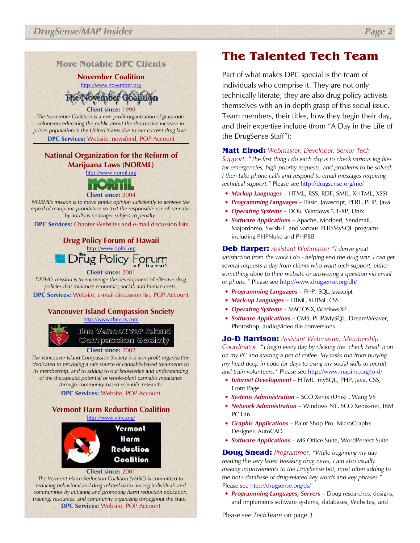More Notable DPC Clients

November Coalition http://www.november.org Voyember Oostrign

Client since: 1999 The November Coalition is a non-profit organization of grassroots volunteers educating the public about the destructive increase in prison population in the United States due to our current drug laws.

DPC Services: Website, newsfeed, POP Account

## National Organization for the Reform of Marijuana Laws (NORML)

http://www.norml.org



NORML's mission is to move public opinion sufficiently to achieve the repeal of marijuana prohibition so that the responsible use of cannabis by adults is no longer subject to penalty.

DPC Services: Chapter Websites and e-mail discussion lists

## Drug Policy Forum of Hawaii http://www.dpfhi.org ug Policy Forum

### Client since: 2001

DPFHI's mission is to encourage the development of effective drug policies that minimize economic, social, and human costs.

DPC Services: Website, e-mail discussion list, POP Account

### Vancouver Island Compassion Society http://www.thevics.com

The Vancouver Island Compassion Society

#### Client since: 2002

The Vancouver Island Compassion Society is a non-profit organization dedicated to providing a safe source of cannabis-based treatments to its membership, and to adding to our knowledge and understanding of the therapeutic potential of whole-plant cannabis medicines through community-based scientific research.

DPC Services: Website, POP Account

#### Vermont Harm Reduction Coalition http://www.vhrc.org/

Vermont Harm Reduction Coalition

#### Client since: 2001

The Vermont Harm Reduction Coalition (VHRC) is committed to reducing behavioral and drug-related harm among individuals and communities by initiating and promoting harm reduction education, training, resources, and community organizing throughout the state. DPC Services: Website, POP Account

# The Talented Tech Team

Part of what makes DPC special is the team of individuals who comprise it. They are not only technically literate; they are also drug policy activists themselves with an in depth grasp of this social issue. Team members, their titles, how they begin their day, and their expertise include (from "A Day in the Life of the DrugSense Staff"):

### Matt Elrod: Webmaster, Developer, Senior Tech

Support. "The first thing I do each day is to check various log files for emergencies, high-priority requests, and problems to be solved. I then take phone calls and respond to email messages requiring technical support." Please see http://drugsense.org/me/

- Markup Languages HTML, RSS, RDF, SMIL, XHTML, XSSI
- Programming Languages Basic, Javascript, PERL, PHP, Java
- Operating Systems DOS, Windows 3.1-XP, Unix
- **Software Applications** Apache, Modperl, Sendmail, Majordomo, Swish-E, and various PHP/MySQL programs including PHPNuke and PHPBB

Deb Harper: Assistant Webmaster "I derive great satisfaction from the work I do - helping end the drug war. I can get several requests a day from clients who want tech support, either something done to their website or answering a question via email or phone." Please see http://www.drugsense.org/dh/

- Programming Languages PHP, SQL, Javascript
- Mark-up Languages HTML, XHTML, CSS
- Operating Systems MAC OS X, Windows XP
- Software Applications CMS, PHP/MySQL, DreamWeaver, Photoshop, audio/video file conversions

#### Jo-D Harrison: Assistant Webmaster, Membership

Coordinator. "I begin every day by clicking the 'check Email' icon on my PC and starting a pot of coffee. My tasks run from burying my head deep in code for days to using my social skills to recruit and train volunteers." Please see http://www.mapinc.org/jo-d/

- Internet Development HTML, mySQL, PHP, Java, CSS, Front Page
- Systems Administration SCO Xenix (Unix), Wang VS
- Network Administration Windows NT, SCO Xenix-net, IBM PC Lan
- Graphic Applications Paint Shop Pro, MicroGraphx Designer, AutoCAD
- Software Applications MS Office Suite, WordPerfect Suite

**Doug Snead:** Programmer. "While beginning my day reading the very latest breaking drug news, I am also usually making improvements to the DrugSense bot, most often adding to the bot's database of drug-related key words and key phrases." Please see http://drugsense.org/ds/

• Programming Languages, Servers - Doug researches, designs, and implements software systems, databases, Websites, and

Please see TechTeam on page 3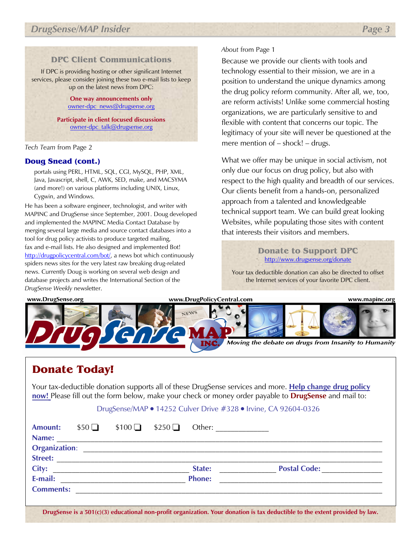## DPC Client Communications

If DPC is providing hosting or other significant Internet services, please consider joining these two e-mail lists to keep up on the latest news from DPC:

> One way announcements only owner-dpc\_news@drugsense.org

Participate in client focused discussions owner-dpc\_talk@drugsense.org

### Tech Team from Page 2

### Doug Snead (cont.)

portals using PERL, HTML, SQL, CGI, MySQL, PHP, XML, Java, Javascript, shell, C, AWK, SED, make, and MACSYMA (and more!) on various platforms including UNIX, Linux, Cygwin, and Windows.

He has been a software engineer, technologist, and writer with MAPINC and DrugSense since September, 2001. Doug developed and implemented the MAPINC Media Contact Database by merging several large media and source contact databases into a tool for drug policy activists to produce targeted mailing, fax and e-mail lists. He also designed and implemented Bot! http://drugpolicycentral.com/bot/, a news bot which continuously spiders news sites for the very latest raw breaking drug-related news. Currently Doug is working on several web design and database projects and writes the International Section of the DrugSense Weekly newsletter.

## About from Page 1

Because we provide our clients with tools and technology essential to their mission, we are in a position to understand the unique dynamics among the drug policy reform community. After all, we, too, are reform activists! Unlike some commercial hosting organizations, we are particularly sensitive to and flexible with content that concerns our topic. The legitimacy of your site will never be questioned at the mere mention of – shock! – drugs.

What we offer may be unique in social activism, not only due our focus on drug policy, but also with respect to the high quality and breadth of our services. Our clients benefit from a hands-on, personalized approach from a talented and knowledgeable technical support team. We can build great looking Websites, while populating those sites with content that interests their visitors and members.

### Donate to Support DPC http://www.drugsense.org/donate

Your tax deductible donation can also be directed to offset the Internet services of your favorite DPC client.



# Donate Today!

Your tax-deductible donation supports all of these DrugSense services and more. Help change drug policy now! Please fill out the form below, make your check or money order payable to **DrugSense** and mail to:

### DrugSense/MAP ● 14252 Culver Drive #328 ● Irvine, CA 92604-0326

| <b>Amount:</b>              | $$50\Box$ | $$100$ $$250$ $\Box$                                       | Other: $\qquad \qquad$ |  |
|-----------------------------|-----------|------------------------------------------------------------|------------------------|--|
| Name:                       |           | <u> 1989 - Johann Stoff, amerikansk politiker (* 1908)</u> |                        |  |
| <b>Organization:</b>        |           |                                                            |                        |  |
| Street: <b>Example 2018</b> |           |                                                            |                        |  |
|                             |           |                                                            | State:                 |  |
| E-mail:                     |           | <u> 1980 - John Stone, Amerikaansk politiker (</u>         | <b>Phone:</b>          |  |
| <b>Comments:</b>            |           |                                                            |                        |  |
|                             |           |                                                            |                        |  |

DrugSense is a 501(c)(3) educational non-profit organization. Your donation is tax deductible to the extent provided by law.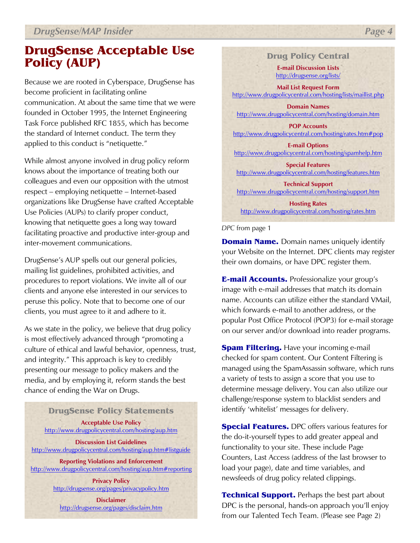# DrugSense Acceptable Use Policy (AUP)

Because we are rooted in Cyberspace, DrugSense has become proficient in facilitating online communication. At about the same time that we were founded in October 1995, the Internet Engineering Task Force published RFC 1855, which has become the standard of Internet conduct. The term they applied to this conduct is "netiquette."

While almost anyone involved in drug policy reform knows about the importance of treating both our colleagues and even our opposition with the utmost respect – employing netiquette – Internet-based organizations like DrugSense have crafted Acceptable Use Policies (AUPs) to clarify proper conduct, knowing that netiquette goes a long way toward facilitating proactive and productive inter-group and inter-movement communications.

 clients and anyone else interested in our services to DrugSense's AUP spells out our general policies, mailing list guidelines, prohibited activities, and procedures to report violations. We invite all of our peruse this policy. Note that to become one of our clients, you must agree to it and adhere to it.

As we state in the policy, we believe that drug policy is most effectively advanced through "promoting a culture of ethical and lawful behavior, openness, trust, and integrity." This approach is key to credibly presenting our message to policy makers and the media, and by employing it, reform stands the best chance of ending the War on Drugs.

### DrugSense Policy Statements

Acceptable Use Policy http://www.drugpolicycentral.com/hosting/aup.htm

Discussion List Guidelines http://www.drugpolicycentral.com/hosting/aup.htm#listguide

Reporting Violations and Enforcement http://www.drugpolicycentral.com/hosting/aup.htm#reporting

> Privacy Policy http://drugsense.org/pages/privacypolicy.htm

**Disclaimer** http://drugsense.org/pages/disclaim.htm

## Drug Policy Central

E-mail Discussion Lists http://drugsense.org/lists/

Mail List Request Form http://www.drugpolicycentral.com/hosting/lists/maillist.php

Domain Names http://www.drugpolicycentral.com/hosting/domain.htm

POP Accounts http://www.drugpolicycentral.com/hosting/rates.htm#pop

E-mail Options http://www.drugpolicycentral.com/hosting/spamhelp.htm

Special Features http://www.drugpolicycentral.com/hosting/features.htm

Technical Support http://www.drugpolicycentral.com/hosting/support.htm

Hosting Rates http://www.drugpolicycentral.com/hosting/rates.htm

#### DPC from page 1

**Domain Name.** Domain names uniquely identify your Website on the Internet. DPC clients may register their own domains, or have DPC register them.

**E-mail Accounts.** Professionalize your group's image with e-mail addresses that match its domain name. Accounts can utilize either the standard VMail, which forwards e-mail to another address, or the popular Post Office Protocol (POP3) for e-mail storage on our server and/or download into reader programs.

**Spam Filtering.** Have your incoming e-mail checked for spam content. Our Content Filtering is managed using the SpamAssassin software, which runs a variety of tests to assign a score that you use to determine message delivery. You can also utilize our challenge/response system to blacklist senders and identify 'whitelist' messages for delivery.

**Special Features.** DPC offers various features for the do-it-yourself types to add greater appeal and functionality to your site. These include Page Counters, Last Access (address of the last browser to load your page), date and time variables, and newsfeeds of drug policy related clippings.

**Technical Support.** Perhaps the best part about DPC is the personal, hands-on approach you'll enjoy from our Talented Tech Team. (Please see Page 2)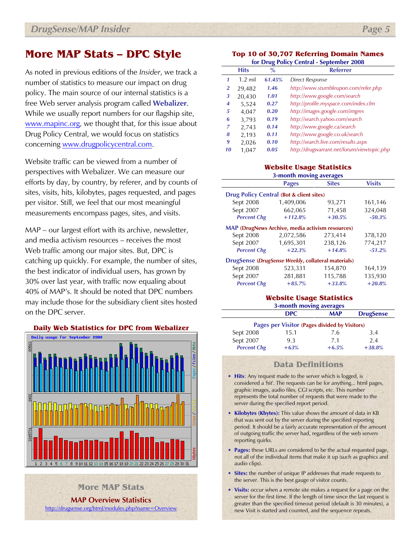# More MAP Stats – DPC Style

As noted in previous editions of the Insider, we track a number of statistics to measure our impact on drug policy. The main source of our internal statistics is a free Web server analysis program called **Webalizer.** While we usually report numbers for our flagship site, www.mapinc.org, we thought that, for this issue about Drug Policy Central, we would focus on statistics concerning www.drugpolicycentral.com.

Website traffic can be viewed from a number of perspectives with Webalizer. We can measure our efforts by day, by country, by referer, and by counts of sites, visits, hits, kilobytes, pages requested, and pages per visitor. Still, we feel that our most meaningful measurements encompass pages, sites, and visits.

MAP – our largest effort with its archive, newsletter, and media activism resources – receives the most Web traffic among our major sites. But, DPC is catching up quickly. For example, the number of sites, the best indicator of individual users, has grown by 30% over last year, with traffic now equaling about 40% of MAP's. It should be noted that DPC numbers may include those for the subsidiary client sites hosted on the DPC server.



MAP Overview Statistics

http://drugsense.org/html/modules.php?name=Overview

More MAP Stats

#### Top 10 of 30,707 Referring Domain Names for Drug Policy Central - September 2008

| $\frac{1}{2}$ . $\frac{1}{2}$ . $\frac{1}{2}$ . $\frac{1}{2}$ . $\frac{1}{2}$<br>$o$ epicino el 2000 |             |               |                                            |
|------------------------------------------------------------------------------------------------------|-------------|---------------|--------------------------------------------|
|                                                                                                      | <b>Hits</b> | $\frac{9}{6}$ | <b>Referrer</b>                            |
|                                                                                                      | $1.2$ mil   | 61.45%        | Direct Response                            |
| 2                                                                                                    | 29,482      | 1.46          | http://www.stumbleupon.com/refer.php       |
| 3                                                                                                    | 20,430      | 1.01          | http://www.google.com/search               |
| 4                                                                                                    | 5,524       | 0.27          | http://profile.myspace.com/index.cfm       |
| 5                                                                                                    | 4,047       | 0.20          | http://images.google.com/imgres            |
| 6                                                                                                    | 3,793       | 0.19          | http://search.yahoo.com/search             |
| 7                                                                                                    | 2,743       | 0.14          | http://www.google.ca/search                |
| 8                                                                                                    | 2,193       | 0.11          | http://www.google.co.uk/search             |
| 9                                                                                                    | 2,026       | 0.10          | http://search.live.com/results.aspx        |
| 10                                                                                                   | 1,047       | 0.05          | http://drugwarrant.net/forum/viewtopic.php |

#### Website Usage Statistics 3-month moving averages

| <b>Pages</b>                                            | <b>Sites</b> | <b>Visits</b>         |  |  |  |  |
|---------------------------------------------------------|--------------|-----------------------|--|--|--|--|
| Drug Policy Central (Bot & client sites)                |              |                       |  |  |  |  |
| 1,409,006                                               | 93,271       | 161,146               |  |  |  |  |
| 662,065                                                 | 71,458       | 324,048               |  |  |  |  |
| $+112.8%$                                               | $+30.5%$     | $-50.3%$              |  |  |  |  |
| <b>MAP</b> (DrugNews Archive, media activism resources) |              |                       |  |  |  |  |
| 2,072,586                                               | 273,414      | 378,120               |  |  |  |  |
| 1,695,301                                               | 238,126      | 774,217               |  |  |  |  |
| $+22.3%$                                                | $+14.8%$     | $-51.2%$              |  |  |  |  |
| DrugSense (DrugSense Weekly, collateral materials)      |              |                       |  |  |  |  |
| 523,331                                                 | 154,870      | 164,139               |  |  |  |  |
| 281,881                                                 | 115,788      | 135,930               |  |  |  |  |
| $+85.7%$                                                | $+33.8%$     | $+20.8%$              |  |  |  |  |
|                                                         |              | $\bullet$<br>$\sigma$ |  |  |  |  |

#### Website Usage Statistics 3-month moving averages

| $\sim$ month morning area ago.                |        |            |                  |  |  |  |
|-----------------------------------------------|--------|------------|------------------|--|--|--|
|                                               | DPC.   | <b>MAP</b> | <b>DrugSense</b> |  |  |  |
| Pages per Visitor (Pages divided by Visitors) |        |            |                  |  |  |  |
| Sept 2008                                     | 15.1   | 7.6        | 3.4              |  |  |  |
| Sept 2007                                     | 9.3    | 7.1        | 2.4              |  |  |  |
| <b>Percent Chg</b>                            | $+63%$ | $+6.5%$    | $+38.8%$         |  |  |  |

### Data Definitions

- Hits: Any request made to the server which is logged, is considered a 'hit'. The requests can be for anything... html pages, graphic images, audio files, CGI scripts, etc. This number represents the total number of requests that were made to the server during the specified report period.
- Kilobytes (Kbytes): This value shows the amount of data in KB that was sent out by the server during the specified reporting period. It should be a fairly accurate representation of the amount of outgoing traffic the server had, regardless of the web servers reporting quirks.
- Pages: these URLs are considered to be the actual requested page, not all of the individual items that make it up (such as graphics and audio clips).
- Sites: the number of unique IP addresses that made requests to the server. This is the best gauge of visitor counts.
- Visits: occur when a remote site makes a request for a page on the server for the first time. If the length of time since the last request is greater than the specified timeout period (default is 30 minutes), a new Visit is started and counted, and the sequence repeats.